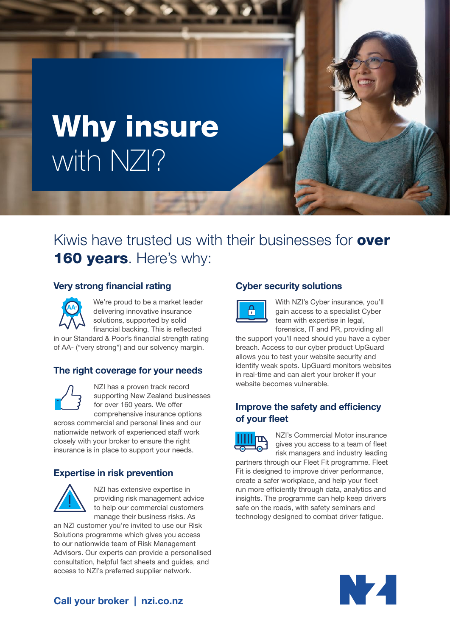# Why insure with NZI?

# Kiwis have trusted us with their businesses for **over** 160 years. Here's why:

## Very strong financial rating

We're proud to be a market leader **AA**

delivering innovative insurance solutions, supported by solid financial backing. This is reflected

in our Standard & Poor's financial strength rating of AA- ("very strong") and our solvency margin.

# The right coverage for your needs



NZI has a proven track record supporting New Zealand businesses for over 160 years. We offer comprehensive insurance options

across commercial and personal lines and our nationwide network of experienced staff work closely with your broker to ensure the right insurance is in place to support your needs.

### Expertise in risk prevention



NZI has extensive expertise in providing risk management advice to help our commercial customers manage their business risks. As

an NZI customer you're invited to use our Risk Solutions programme which gives you access to our nationwide team of Risk Management Advisors. Our experts can provide a personalised consultation, helpful fact sheets and guides, and access to NZI's preferred supplier network.

# Cyber security solutions



With NZI's Cyber insurance, you'll gain access to a specialist Cyber team with expertise in legal. forensics, IT and PR, providing all

the support you'll need should you have a cyber breach. Access to our cyber product UpGuard allows you to test your website security and identify weak spots. UpGuard monitors websites in real-time and can alert your broker if your website becomes vulnerable.

# Improve the safety and efficiency of your fleet



NZI's Commercial Motor insurance gives you access to a team of fleet risk managers and industry leading

partners through our Fleet Fit programme. Fleet Fit is designed to improve driver performance, create a safer workplace, and help your fleet run more efficiently through data, analytics and insights. The programme can help keep drivers safe on the roads, with safety seminars and technology designed to combat driver fatigue.



# Call your broker | nzi.co.nz